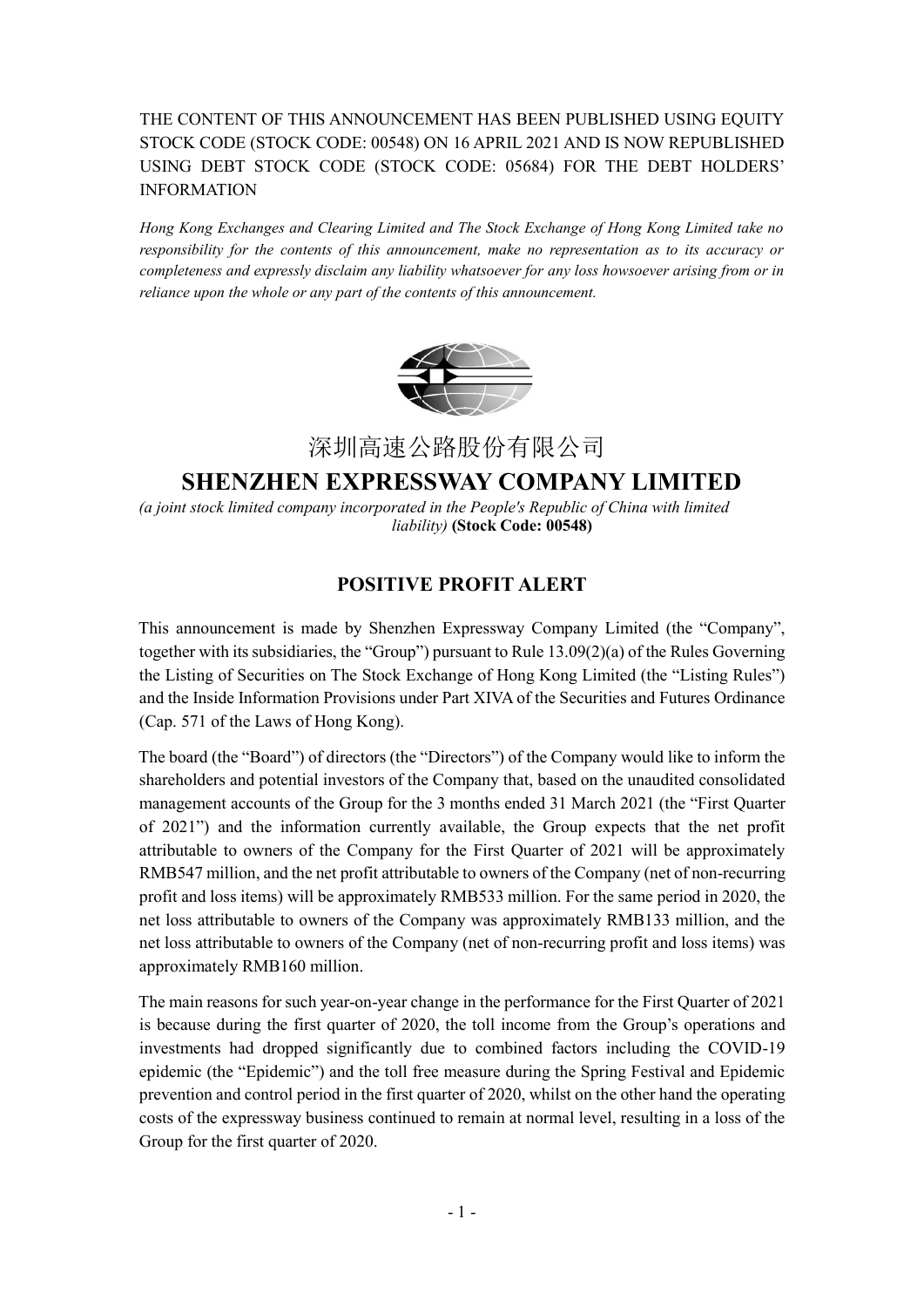## THE CONTENT OF THIS ANNOUNCEMENT HAS BEEN PUBLISHED USING EQUITY STOCK CODE (STOCK CODE: 00548) ON 16 APRIL 2021 AND IS NOW REPUBLISHED USING DEBT STOCK CODE (STOCK CODE: 05684) FOR THE DEBT HOLDERS' INFORMATION

*Hong Kong Exchanges and Clearing Limited and The Stock Exchange of Hong Kong Limited take no responsibility for the contents of this announcement, make no representation as to its accuracy or completeness and expressly disclaim any liability whatsoever for any loss howsoever arising from or in reliance upon the whole or any part of the contents of this announcement.* 



深圳高速公路股份有限公司

## **SHENZHEN EXPRESSWAY COMPANY LIMITED**

*(a joint stock limited company incorporated in the People's Republic of China with limited liability)* **(Stock Code: 00548)** 

## **POSITIVE PROFIT ALERT**

This announcement is made by Shenzhen Expressway Company Limited (the "Company", together with its subsidiaries, the "Group") pursuant to Rule 13.09(2)(a) of the Rules Governing the Listing of Securities on The Stock Exchange of Hong Kong Limited (the "Listing Rules") and the Inside Information Provisions under Part XIVA of the Securities and Futures Ordinance (Cap. 571 of the Laws of Hong Kong).

The board (the "Board") of directors (the "Directors") of the Company would like to inform the shareholders and potential investors of the Company that, based on the unaudited consolidated management accounts of the Group for the 3 months ended 31 March 2021 (the "First Quarter of 2021") and the information currently available, the Group expects that the net profit attributable to owners of the Company for the First Quarter of 2021 will be approximately RMB547 million, and the net profit attributable to owners of the Company (net of non-recurring profit and loss items) will be approximately RMB533 million. For the same period in 2020, the net loss attributable to owners of the Company was approximately RMB133 million, and the net loss attributable to owners of the Company (net of non-recurring profit and loss items) was approximately RMB160 million.

The main reasons for such year-on-year change in the performance for the First Quarter of 2021 is because during the first quarter of 2020, the toll income from the Group's operations and investments had dropped significantly due to combined factors including the COVID-19 epidemic (the "Epidemic") and the toll free measure during the Spring Festival and Epidemic prevention and control period in the first quarter of 2020, whilst on the other hand the operating costs of the expressway business continued to remain at normal level, resulting in a loss of the Group for the first quarter of 2020.